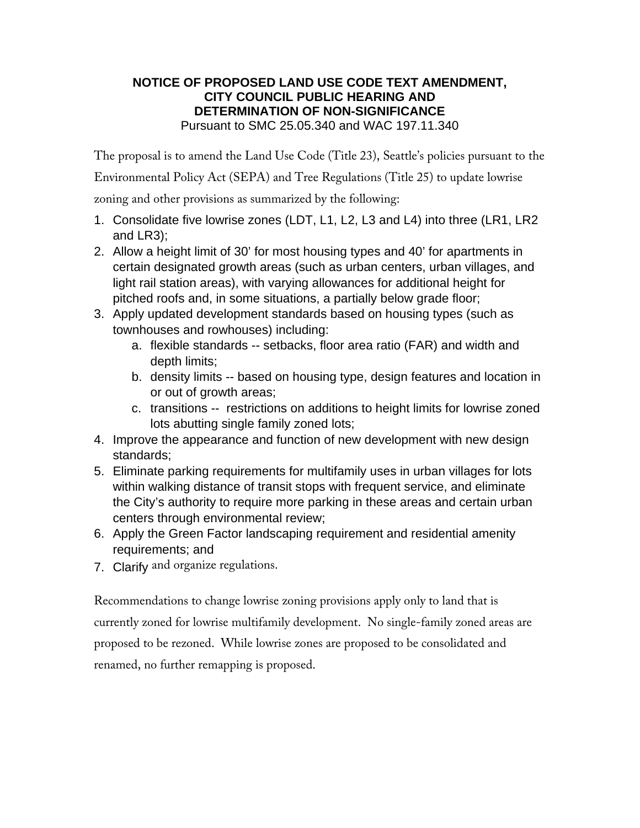# **NOTICE OF PROPOSED LAND USE CODE TEXT AMENDMENT, CITY COUNCIL PUBLIC HEARING AND DETERMINATION OF NON-SIGNIFICANCE**  Pursuant to SMC 25.05.340 and WAC 197.11.340

The proposal is to amend the Land Use Code (Title 23), Seattle's policies pursuant to the

Environmental Policy Act (SEPA) and Tree Regulations (Title 25) to update lowrise

zoning and other provisions as summarized by the following:

- 1. Consolidate five lowrise zones (LDT, L1, L2, L3 and L4) into three (LR1, LR2 and LR3);
- 2. Allow a height limit of 30' for most housing types and 40' for apartments in certain designated growth areas (such as urban centers, urban villages, and light rail station areas), with varying allowances for additional height for pitched roofs and, in some situations, a partially below grade floor;
- 3. Apply updated development standards based on housing types (such as townhouses and rowhouses) including:
	- a. flexible standards -- setbacks, floor area ratio (FAR) and width and depth limits;
	- b. density limits -- based on housing type, design features and location in or out of growth areas;
	- c. transitions -- restrictions on additions to height limits for lowrise zoned lots abutting single family zoned lots;
- 4. Improve the appearance and function of new development with new design standards;
- 5. Eliminate parking requirements for multifamily uses in urban villages for lots within walking distance of transit stops with frequent service, and eliminate the City's authority to require more parking in these areas and certain urban centers through environmental review;
- 6. Apply the Green Factor landscaping requirement and residential amenity requirements; and
- 7. Clarify and organize regulations.

Recommendations to change lowrise zoning provisions apply only to land that is currently zoned for lowrise multifamily development. No single-family zoned areas are proposed to be rezoned. While lowrise zones are proposed to be consolidated and renamed, no further remapping is proposed.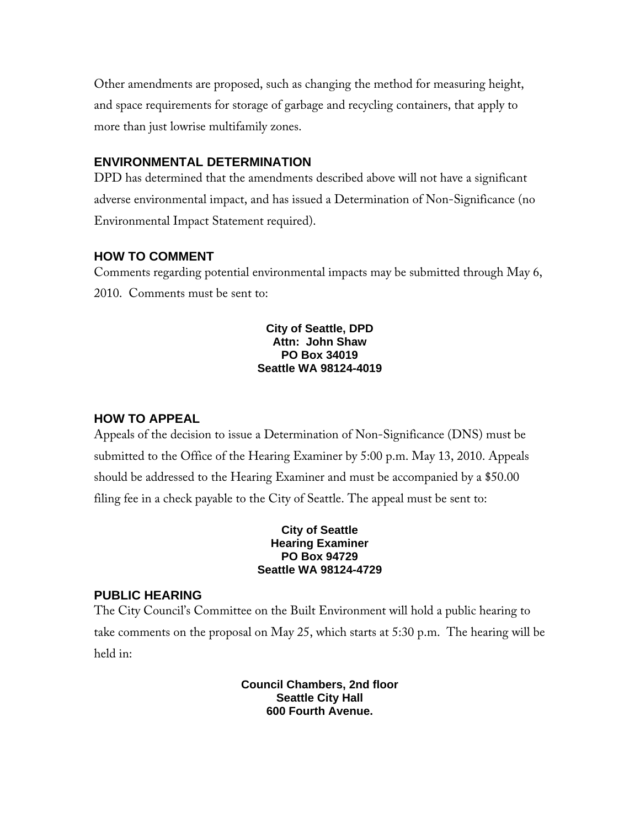Other amendments are proposed, such as changing the method for measuring height, and space requirements for storage of garbage and recycling containers, that apply to more than just lowrise multifamily zones.

# **ENVIRONMENTAL DETERMINATION**

DPD has determined that the amendments described above will not have a significant adverse environmental impact, and has issued a Determination of Non-Significance (no Environmental Impact Statement required).

#### **HOW TO COMMENT**

Comments regarding potential environmental impacts may be submitted through May 6, 2010. Comments must be sent to:

### **City of Seattle, DPD Attn: John Shaw PO Box 34019 Seattle WA 98124-4019**

### **HOW TO APPEAL**

Appeals of the decision to issue a Determination of Non-Significance (DNS) must be submitted to the Office of the Hearing Examiner by 5:00 p.m. May 13, 2010. Appeals should be addressed to the Hearing Examiner and must be accompanied by a \$50.00 filing fee in a check payable to the City of Seattle. The appeal must be sent to:

### **City of Seattle Hearing Examiner PO Box 94729 Seattle WA 98124-4729**

# **PUBLIC HEARING**

The City Council's Committee on the Built Environment will hold a public hearing to take comments on the proposal on May 25, which starts at 5:30 p.m. The hearing will be held in:

> **Council Chambers, 2nd floor Seattle City Hall 600 Fourth Avenue.**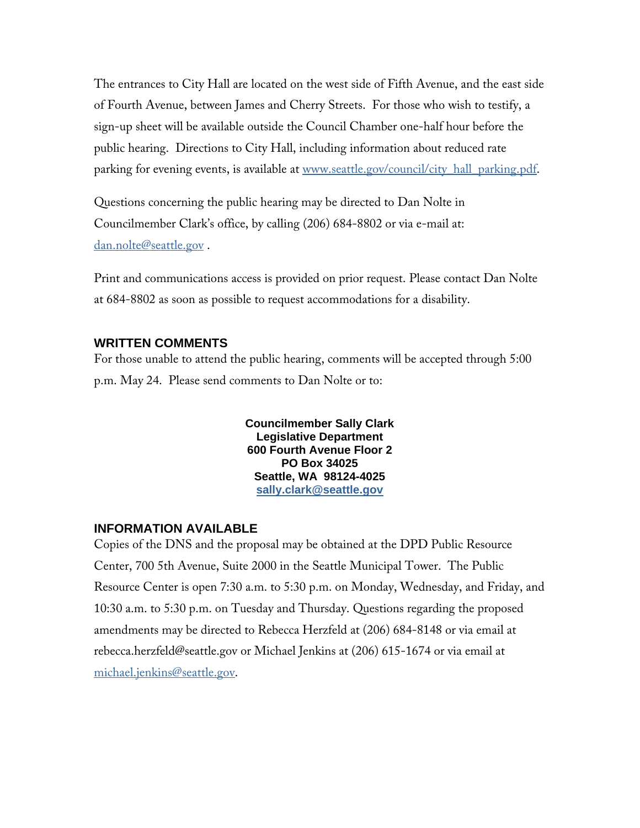The entrances to City Hall are located on the west side of Fifth Avenue, and the east side of Fourth Avenue, between James and Cherry Streets. For those who wish to testify, a sign-up sheet will be available outside the Council Chamber one-half hour before the public hearing. Directions to City Hall, including information about reduced rate parking for evening events, is available at www.seattle.gov/council/city\_hall\_parking.pdf.

Questions concerning the public hearing may be directed to Dan Nolte in Councilmember Clark's office, by calling (206) 684-8802 or via e-mail at: dan.nolte@seattle.gov .

Print and communications access is provided on prior request. Please contact Dan Nolte at 684-8802 as soon as possible to request accommodations for a disability.

### **WRITTEN COMMENTS**

For those unable to attend the public hearing, comments will be accepted through 5:00 p.m. May 24. Please send comments to Dan Nolte or to:

> **Councilmember Sally Clark Legislative Department 600 Fourth Avenue Floor 2 PO Box 34025 Seattle, WA 98124-4025 sally.clark@seattle.gov**

# **INFORMATION AVAILABLE**

Copies of the DNS and the proposal may be obtained at the DPD Public Resource Center, 700 5th Avenue, Suite 2000 in the Seattle Municipal Tower. The Public Resource Center is open 7:30 a.m. to 5:30 p.m. on Monday, Wednesday, and Friday, and 10:30 a.m. to 5:30 p.m. on Tuesday and Thursday. Questions regarding the proposed amendments may be directed to Rebecca Herzfeld at (206) 684-8148 or via email at rebecca.herzfeld@seattle.gov or Michael Jenkins at (206) 615-1674 or via email at michael.jenkins@seattle.gov.